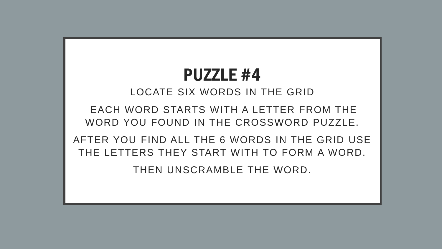## PUZZLE #4

LOCATE SIX WORDS IN THE GRID

EACH WORD STARTS WITH A LETTER FROM THE WORD YOU FOUND IN THE CROSSWORD PUZZLE.

AFTER YOU FIND ALL THE 6 WORDS IN THE GRID USE THE LETTERS THEY START WITH TO FORM A WORD.

THEN UNSCRAMBLE THE WORD.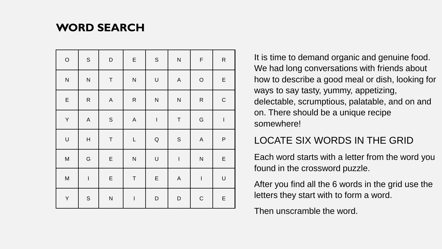## **WORD SEARCH**

| $\circ$      | $\mathbb S$               | $\mathsf D$ | E           | $\mathsf S$ | ${\sf N}$    | $\mathsf F$   | ${\sf R}$                |  |
|--------------|---------------------------|-------------|-------------|-------------|--------------|---------------|--------------------------|--|
| $\mathsf{N}$ | ${\sf N}$                 | $\sf T$     | ${\sf N}$   | U           | $\mathsf A$  | $\circ$       | $\mathsf E$              |  |
| $\mathsf E$  | ${\sf R}$                 | $\mathsf A$ | ${\sf R}$   | ${\sf N}$   | $\mathsf{N}$ | ${\sf R}$     | $\mathsf C$              |  |
| Y            | $\mathsf A$               | $\mathsf S$ | $\mathsf A$ | $\mathsf I$ | $\sf T$      | G             | $\mathsf I$<br>${\sf P}$ |  |
| $\sf U$      | $\boldsymbol{\mathsf{H}}$ | $\sf T$     | L           | $\sf Q$     | $\mathbb S$  | $\mathsf A$   |                          |  |
| M            | G                         | $\mathsf E$ | ${\sf N}$   | $\cup$      | $\mathsf I$  | $\mathsf{N}$  | $\mathsf E$              |  |
| ${\sf M}$    | $\mathsf I$               | $\mathsf E$ | $\sf T$     | $\mathsf E$ | $\mathsf A$  | $\bar{\rm I}$ | $\cup$                   |  |
| Υ            | $\mathsf S$               | ${\sf N}$   | $\sf I$     | D           | D            | $\mathsf C$   | $\mathsf E$              |  |

It is time to demand organic and genuine food. We had long conversations with friends about how to describe a good meal or dish, looking for ways to say tasty, yummy, appetizing, delectable, scrumptious, palatable, and on and on. There should be a unique recipe somewhere!

## LOCATE SIX WORDS IN THE GRID

Each word starts with a letter from the word you found in the crossword puzzle.

After you find all the 6 words in the grid use the letters they start with to form a word.

Then unscramble the word.